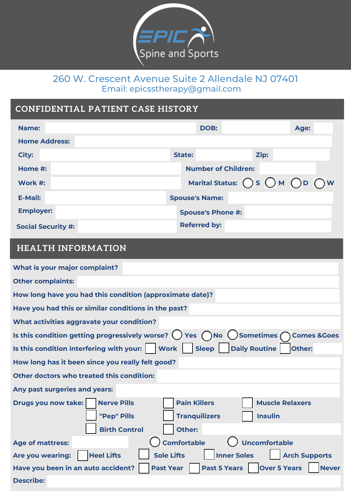

## 260 W. Crescent Avenue Suite 2 Allendale NJ 07401 Email: epicsstherapy@gmail.com

## **CONFIDENTIAL PATIENT CASE HISTORY**

| Name:                     | DOB:                                                                | Age: |
|---------------------------|---------------------------------------------------------------------|------|
| <b>Home Address:</b>      |                                                                     |      |
| City:                     | Zip:<br>State:                                                      |      |
| Home #:                   | <b>Number of Children:</b>                                          |      |
| Work #:                   | Marital Status: $\bigcirc$ S $\bigcirc$ M $\bigcirc$ D $\bigcirc$ W |      |
| <b>E-Mail:</b>            | <b>Spouse's Name:</b>                                               |      |
| <b>Employer:</b>          | <b>Spouse's Phone #:</b>                                            |      |
| <b>Social Security #:</b> | <b>Referred by:</b>                                                 |      |

#### $\blacksquare$ I turn between the photo of  $B$ eechtown High School to use the photo of  $\blacksquare$ \_\_\_\_\_\_\_\_\_\_\_\_\_\_\_\_\_\_ in its publications, including the Beechtown High School Paper. **HEALTH INFORMATION**

| What is your major complaint?                                                                                                                       |  |  |
|-----------------------------------------------------------------------------------------------------------------------------------------------------|--|--|
| <b>Other complaints:</b>                                                                                                                            |  |  |
| How long have you had this condition (approximate date)?                                                                                            |  |  |
| Have you had this or similar conditions in the past?                                                                                                |  |  |
| What activities aggravate your condition?                                                                                                           |  |  |
| Is this condition getting progressively worse? $\bigcirc$ Yes $\bigcirc$ No $\bigcirc$ Sometimes $\bigcirc$ Comes & Goes                            |  |  |
| Is this condition interfering with your:     Work     Sleep     Daily Routine  <br>Other:                                                           |  |  |
| How long has it been since you really felt good?                                                                                                    |  |  |
| Other doctors who treated this condition:                                                                                                           |  |  |
| Any past surgeries and years:                                                                                                                       |  |  |
| <b>Pain Killers</b><br><b>Nerve Pills</b><br><b>Muscle Relaxers</b><br>Drugs you now take:<br>"Pep" Pills<br><b>Tranquilizers</b><br><b>Insulin</b> |  |  |
| <b>Birth Control</b><br>Other:                                                                                                                      |  |  |
| <b>Comfortable</b><br><b>Uncomfortable</b><br><b>Age of mattress:</b>                                                                               |  |  |
| <b>Heel Lifts</b><br><b>Sole Lifts</b><br><b>Inner Soles</b><br>Are you wearing:<br><b>Arch Supports</b>                                            |  |  |
| <b>Past 5 Years</b><br><b>Over 5 Years</b><br><b>Past Year</b><br>Have you been in an auto accident?<br><b>Never</b>                                |  |  |
| <b>Describe:</b>                                                                                                                                    |  |  |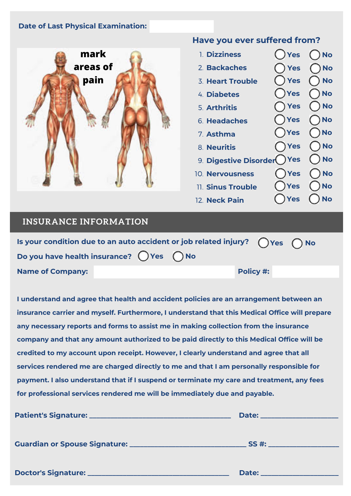#### **Date of Last Physical Examination:**



### **Have you ever suffered from?**

| 1. Dizziness              | ( ) Yes       | $\bigcap$ No  |
|---------------------------|---------------|---------------|
| 2. Backaches              | <b>Yes</b>    | $\bigcap$ No  |
| 3. Heart Trouble          | Yes           | ) No          |
| 4. Diabetes               | Yes           | No            |
| 5. Arthritis              | Yes           | ) No          |
| 6. Headaches              | $\bigcap$ Yes | $\bigcap$ No  |
| 7. Asthma                 | $\bigcap$ Yes | $\bigcap$ No  |
| 8. Neuritis               | $\bigcap$ Yes | $\bigcirc$ No |
| 9. Digestive Disorder Yes |               | $\bigcap$ No  |
| 10. Nervousness           | $\bigcap$ Yes | ) No          |
| 11. Sinus Trouble         | Yes           | No)           |
| 12 Neck Pain              | Yes           | ) No          |

### **INSURANCE INFORMATION**

| Is your condition due to an auto accident or job related injury? $\bigcap$ Yes $\bigcap$ No |           |  |
|---------------------------------------------------------------------------------------------|-----------|--|
| Do you have health insurance? $\bigcap$ Yes $\bigcap$ No                                    |           |  |
| <b>Name of Company:</b>                                                                     | Policy #: |  |

12. Neck Pain

**I understand and agree that health and accident policies are an arrangement between an insurance carrier and myself. Furthermore, I understand that this Medical Office will prepare any necessary reports and forms to assist me in making collection from the insurance company and that any amount authorized to be paid directly to this Medical Office will be credited to my account upon receipt. However, I clearly understand and agree that all services rendered me are charged directly to me and that I am personally responsible for payment. I also understand that if I suspend or terminate my care and treatment, any fees for professional services rendered me will be immediately due and payable.**

| Date:<br><u> 1990 - Jan Alexandri, manazarta polit</u> ik |
|-----------------------------------------------------------|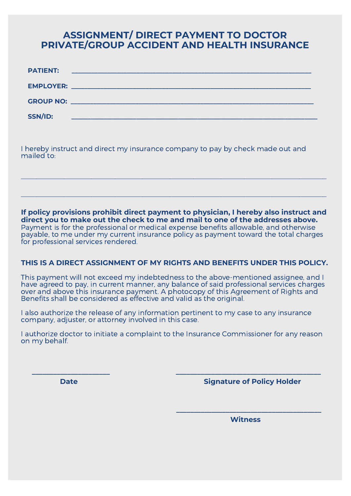## **ASSIGNMENT/ DIRECT PAYMENT TO DOCTOR PRIVATE/GROUP ACCIDENT AND HEALTH INSURANCE**

| <b>PATIENT:</b>  | <u> 1989 - Johann Barn, mars et al. (b. 1989)</u>      |
|------------------|--------------------------------------------------------|
| <b>EMPLOYER:</b> | <u> 1980 - Jan Barnett, fransk politiker (d. 1980)</u> |
|                  |                                                        |
| SSN/ID:          |                                                        |

I hereby instruct and direct my insurance company to pay by check made out and mailed to:

**If policy provisions prohibit direct payment to physician, I hereby also instruct and direct you to make out the check to me and mail to one of the addresses above.** Payment is for the professional or medical expense benefits allowable, and otherwise payable, to me under my current insurance policy as payment toward the total charges for professional services rendered.

 $\_$  , and the set of the set of the set of the set of the set of the set of the set of the set of the set of the set of the set of the set of the set of the set of the set of the set of the set of the set of the set of th

 $\_$  , and the set of the set of the set of the set of the set of the set of the set of the set of the set of the set of the set of the set of the set of the set of the set of the set of the set of the set of the set of th

#### **THIS IS A DIRECT ASSIGNMENT OF MY RIGHTS AND BENEFITS UNDER THIS POLICY.**

This payment will not exceed my indebtedness to the above-mentioned assignee, and I have agreed to pay, in current manner, any balance of said professional services charges over and above this insurance payment. A photocopy of this Agreement of Rights and Benefits shall be considered as effective and valid as the original.

I also authorize the release of any information pertinent to my case to any insurance company, adjuster, or attorney involved in this case.

 **\_\_\_\_\_\_\_\_\_\_\_\_\_\_\_\_\_\_\_\_\_\_ \_\_\_\_\_\_\_\_\_\_\_\_\_\_\_\_\_\_\_\_\_\_\_\_\_\_\_\_\_\_\_\_\_\_\_\_\_\_\_\_\_**

I authorize doctor to initiate a complaint to the Insurance Commissioner for any reason on my behalf.

**Date Community Community Community Community Community Community Community Community Community Community Community Community Community Community Community Community Community Community Community Community Community Commun** 

 **Witness**

 **\_\_\_\_\_\_\_\_\_\_\_\_\_\_\_\_\_\_\_\_\_\_\_\_\_\_\_\_\_\_\_\_\_\_\_\_\_\_\_\_\_**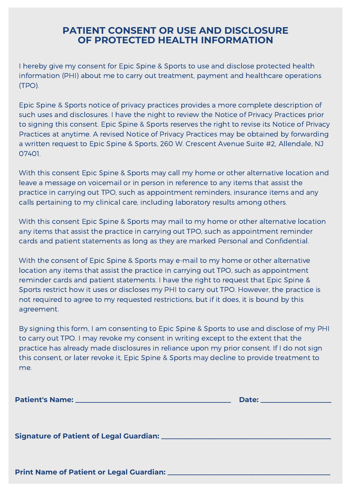## **PATIENT CONSENT OR USE AND DISCLOSURE OF PROTECTED HEALTH INFORMATION**

I hereby give my consent for Epic Spine & Sports to use and disclose protected health information (PHI) about me to carry out treatment, payment and healthcare operations (TPO).

Epic Spine & Sports notice of privacy practices provides a more complete description of such uses and disclosures. I have the night to review the Notice of Privacy Practices prior to signing this consent. Epic Spine & Sports reserves the right to revise its Notice of Privacy Practices at anytime. A revised Notice of Privacy Practices may be obtained by forwarding a written request to Epic Spine & Sports, 260 W. Crescent Avenue Suite #2, Allendale, NJ 07401.

With this consent Epic Spine & Sports may call my home or other alternative location and leave a message on voicemail or in person in reference to any items that assist the practice in carrying out TPO, such as appointment reminders, insurance items and any calls pertaining to my clinical care, including laboratory results among others.

With this consent Epic Spine & Sports may mail to my home or other alternative location any items that assist the practice in carrying out TPO, such as appointment reminder cards and patient statements as long as they are marked Personal and Confidential.

With the consent of Epic Spine & Sports may e-mail to my home or other alternative location any items that assist the practice in carrying out TPO, such as appointment reminder cards and patient statements. I have the right to request that Epic Spine & Sports restrict how it uses or discloses my PHI to carry out TPO. However, the practice is not required to agree to my requested restrictions, but if it does, it is bound by this agreement.

By signing this form, I am consenting to Epic Spine & Sports to use and disclose of my PHI to carry out TPO. I may revoke my consent in writing except to the extent that the practice has already made disclosures in reliance upon my prior consent. If I do not sign this consent, or later revoke it, Epic Spine & Sports may decline to provide treatment to me.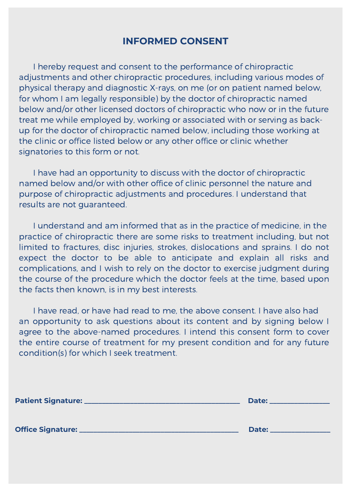# **INFORMED CONSENT**

I hereby request and consent to the performance of chiropractic adjustments and other chiropractic procedures, including various modes of physical therapy and diagnostic X-rays, on me (or on patient named below, for whom I am legally responsible) by the doctor of chiropractic named below and/or other licensed doctors of chiropractic who now or in the future treat me while employed by, working or associated with or serving as backup for the doctor of chiropractic named below, including those working at the clinic or office listed below or any other office or clinic whether signatories to this form or not.

I have had an opportunity to discuss with the doctor of chiropractic named below and/or with other office of clinic personnel the nature and purpose of chiropractic adjustments and procedures. I understand that results are not guaranteed.

I understand and am informed that as in the practice of medicine, in the practice of chiropractic there are some risks to treatment including, but not limited to fractures, disc injuries, strokes, dislocations and sprains. I do not expect the doctor to be able to anticipate and explain all risks and complications, and I wish to rely on the doctor to exercise judgment during the course of the procedure which the doctor feels at the time, based upon the facts then known, is in my best interests.

I have read, or have had read to me, the above consent. I have also had an opportunity to ask questions about its content and by signing below I agree to the above-named procedures. I intend this consent form to cover the entire course of treatment for my present condition and for any future condition(s) for which I seek treatment.

| Patient Signature: ________ | Date: |
|-----------------------------|-------|
| <b>Office Signature: _</b>  | Date: |